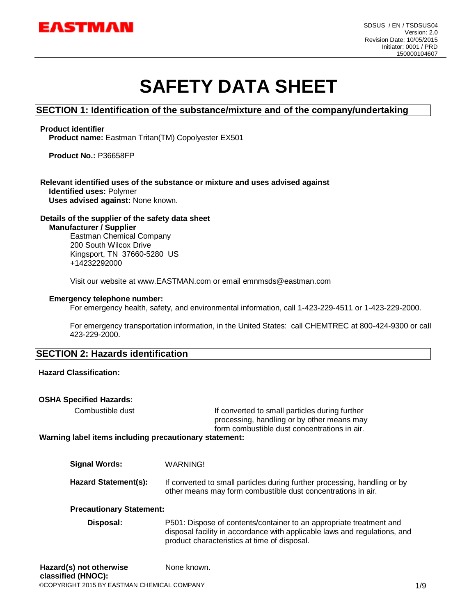

# **SAFETY DATA SHEET**

## **SECTION 1: Identification of the substance/mixture and of the company/undertaking**

#### **Product identifier**

**Product name:** Eastman Tritan(TM) Copolyester EX501

**Product No.:** P36658FP

#### **Relevant identified uses of the substance or mixture and uses advised against Identified uses:** Polymer **Uses advised against:** None known.

#### **Details of the supplier of the safety data sheet**

**Manufacturer / Supplier**

Eastman Chemical Company 200 South Wilcox Drive Kingsport, TN 37660-5280 US +14232292000

Visit our website at www.EASTMAN.com or email emnmsds@eastman.com

#### **Emergency telephone number:**

For emergency health, safety, and environmental information, call 1-423-229-4511 or 1-423-229-2000.

For emergency transportation information, in the United States: call CHEMTREC at 800-424-9300 or call 423-229-2000.

## **SECTION 2: Hazards identification**

#### **Hazard Classification:**

#### **OSHA Specified Hazards:**

Combustible dust **If converted to small particles during further** processing, handling or by other means may form combustible dust concentrations in air.

**Warning label items including precautionary statement:**

| Signal Words:        | WARNING!                                                                                                                                  |
|----------------------|-------------------------------------------------------------------------------------------------------------------------------------------|
| Hazard Statement(s): | If converted to small particles during further processing, handling or by<br>other means may form combustible dust concentrations in air. |

#### **Precautionary Statement:**

**Disposal:** P501: Dispose of contents/container to an appropriate treatment and disposal facility in accordance with applicable laws and regulations, and product characteristics at time of disposal.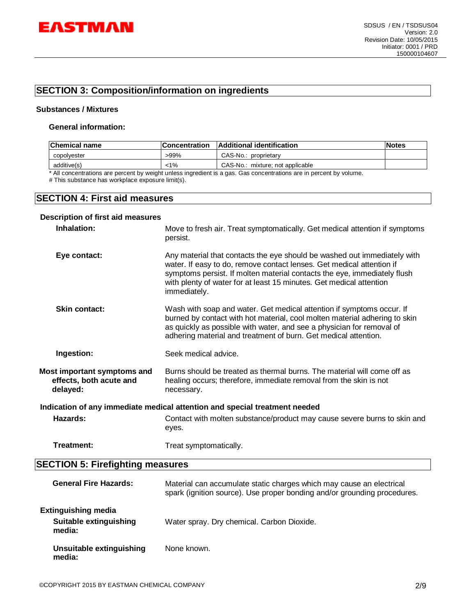

# **SECTION 3: Composition/information on ingredients**

#### **Substances / Mixtures**

#### **General information:**

| Chemical name | <b>Concentration</b> | Additional identification        | lNotes |
|---------------|----------------------|----------------------------------|--------|
| copolvester   | -99%                 | CAS-No.: proprietary             |        |
| additive(s)   | 1%>                  | CAS-No.: mixture: not applicable |        |

\* All concentrations are percent by weight unless ingredient is a gas. Gas concentrations are in percent by volume.

# This substance has workplace exposure limit(s).

## **SECTION 4: First aid measures**

## **Description of first aid measures Inhalation:** Move to fresh air. Treat symptomatically. Get medical attention if symptoms persist. **Eye contact:** Any material that contacts the eye should be washed out immediately with water. If easy to do, remove contact lenses. Get medical attention if symptoms persist. If molten material contacts the eye, immediately flush with plenty of water for at least 15 minutes. Get medical attention immediately. **Skin contact:** Wash with soap and water. Get medical attention if symptoms occur. If burned by contact with hot material, cool molten material adhering to skin as quickly as possible with water, and see a physician for removal of adhering material and treatment of burn. Get medical attention. **Ingestion:** Seek medical advice. **Most important symptoms and effects, both acute and delayed:** Burns should be treated as thermal burns. The material will come off as healing occurs; therefore, immediate removal from the skin is not necessary. **Indication of any immediate medical attention and special treatment needed Hazards:** Contact with molten substance/product may cause severe burns to skin and eyes. **Treatment:** Treat symptomatically.

## **SECTION 5: Firefighting measures**

| <b>General Fire Hazards:</b>                                   | Material can accumulate static charges which may cause an electrical<br>spark (ignition source). Use proper bonding and/or grounding procedures. |
|----------------------------------------------------------------|--------------------------------------------------------------------------------------------------------------------------------------------------|
| <b>Extinguishing media</b><br>Suitable extinguishing<br>media: | Water spray. Dry chemical. Carbon Dioxide.                                                                                                       |
| Unsuitable extinguishing<br>media:                             | None known.                                                                                                                                      |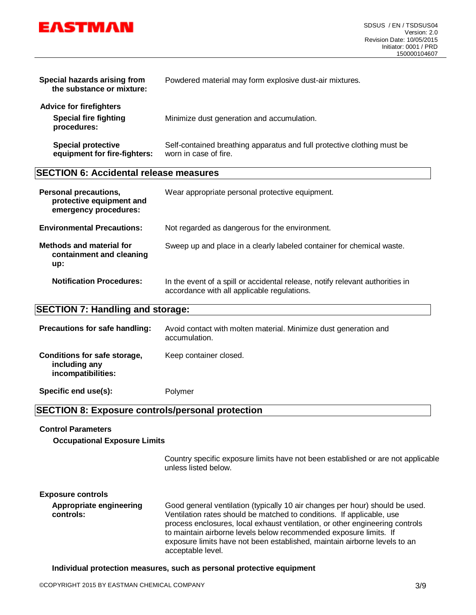

| Special hazards arising from<br>the substance or mixture:                         | Powdered material may form explosive dust-air mixtures.                                          |
|-----------------------------------------------------------------------------------|--------------------------------------------------------------------------------------------------|
| <b>Advice for firefighters</b><br><b>Special fire fighting</b><br>procedures:     | Minimize dust generation and accumulation.                                                       |
| <b>Special protective</b><br>equipment for fire-fighters:                         | Self-contained breathing apparatus and full protective clothing must be<br>worn in case of fire. |
| <b>SECTION 6: Accidental release measures</b>                                     |                                                                                                  |
|                                                                                   |                                                                                                  |
| <b>Personal precautions,</b><br>protective equipment and<br>emergency procedures: | Wear appropriate personal protective equipment.                                                  |
| <b>Environmental Precautions:</b>                                                 | Not regarded as dangerous for the environment.                                                   |
| Methods and material for<br>containment and cleaning<br>up:                       | Sweep up and place in a clearly labeled container for chemical waste.                            |

## **SECTION 7: Handling and storage:**

| Precautions for safe handling:                                      | Avoid contact with molten material. Minimize dust generation and<br>accumulation. |
|---------------------------------------------------------------------|-----------------------------------------------------------------------------------|
| Conditions for safe storage,<br>including any<br>incompatibilities: | Keep container closed.                                                            |
| Specific end use(s):                                                | Polymer                                                                           |

accordance with all applicable regulations.

## **SECTION 8: Exposure controls/personal protection**

#### **Control Parameters**

**Occupational Exposure Limits**

Country specific exposure limits have not been established or are not applicable unless listed below.

#### **Exposure controls**

**Appropriate engineering controls:** Good general ventilation (typically 10 air changes per hour) should be used. Ventilation rates should be matched to conditions. If applicable, use process enclosures, local exhaust ventilation, or other engineering controls to maintain airborne levels below recommended exposure limits. If exposure limits have not been established, maintain airborne levels to an acceptable level.

**Individual protection measures, such as personal protective equipment**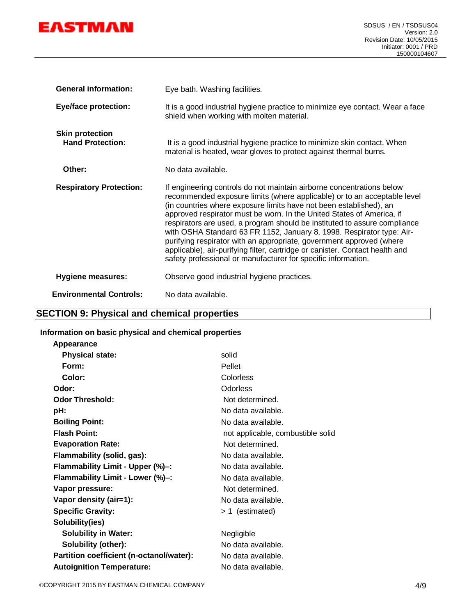

| <b>General information:</b>                       | Eye bath. Washing facilities.                                                                                                                                                                                                                                                                                                                                                                                                                                                                                                                                                                                                                                                   |
|---------------------------------------------------|---------------------------------------------------------------------------------------------------------------------------------------------------------------------------------------------------------------------------------------------------------------------------------------------------------------------------------------------------------------------------------------------------------------------------------------------------------------------------------------------------------------------------------------------------------------------------------------------------------------------------------------------------------------------------------|
| <b>Eye/face protection:</b>                       | It is a good industrial hygiene practice to minimize eye contact. Wear a face<br>shield when working with molten material.                                                                                                                                                                                                                                                                                                                                                                                                                                                                                                                                                      |
| <b>Skin protection</b><br><b>Hand Protection:</b> | It is a good industrial hygiene practice to minimize skin contact. When<br>material is heated, wear gloves to protect against thermal burns.                                                                                                                                                                                                                                                                                                                                                                                                                                                                                                                                    |
| Other:                                            | No data available.                                                                                                                                                                                                                                                                                                                                                                                                                                                                                                                                                                                                                                                              |
| <b>Respiratory Protection:</b>                    | If engineering controls do not maintain airborne concentrations below<br>recommended exposure limits (where applicable) or to an acceptable level<br>(in countries where exposure limits have not been established), an<br>approved respirator must be worn. In the United States of America, if<br>respirators are used, a program should be instituted to assure compliance<br>with OSHA Standard 63 FR 1152, January 8, 1998. Respirator type: Air-<br>purifying respirator with an appropriate, government approved (where<br>applicable), air-purifying filter, cartridge or canister. Contact health and<br>safety professional or manufacturer for specific information. |
| <b>Hygiene measures:</b>                          | Observe good industrial hygiene practices.                                                                                                                                                                                                                                                                                                                                                                                                                                                                                                                                                                                                                                      |
| <b>Environmental Controls:</b>                    | No data available.                                                                                                                                                                                                                                                                                                                                                                                                                                                                                                                                                                                                                                                              |

# **SECTION 9: Physical and chemical properties**

## **Information on basic physical and chemical properties**

| Appearance                               |                                   |
|------------------------------------------|-----------------------------------|
| <b>Physical state:</b>                   | solid                             |
| Form:                                    | Pellet                            |
| Color:                                   | Colorless                         |
| Odor:                                    | Odorless                          |
| <b>Odor Threshold:</b>                   | Not determined.                   |
| pH:                                      | No data available.                |
| <b>Boiling Point:</b>                    | No data available.                |
| <b>Flash Point:</b>                      | not applicable, combustible solid |
| <b>Evaporation Rate:</b>                 | Not determined.                   |
| Flammability (solid, gas):               | No data available.                |
| Flammability Limit - Upper (%)-:         | No data available.                |
| Flammability Limit - Lower (%)-:         | No data available.                |
| Vapor pressure:                          | Not determined.                   |
| Vapor density (air=1):                   | No data available.                |
| <b>Specific Gravity:</b>                 | > 1 (estimated)                   |
| Solubility(ies)                          |                                   |
| <b>Solubility in Water:</b>              | Negligible                        |
| <b>Solubility (other):</b>               | No data available.                |
| Partition coefficient (n-octanol/water): | No data available.                |
| <b>Autoignition Temperature:</b>         | No data available.                |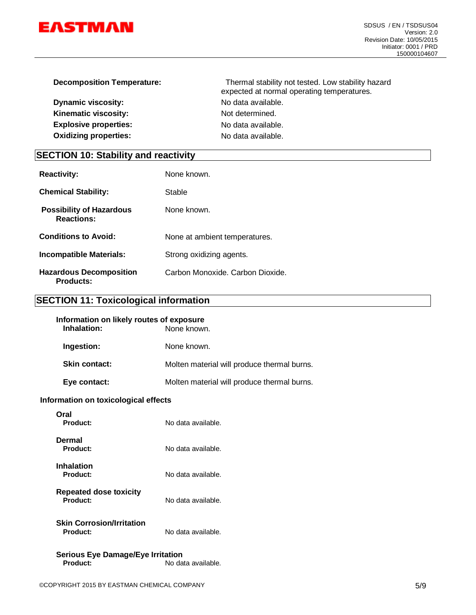

| <b>Decomposition Temperature:</b> | Thermal stability not tested. Low stability hazard<br>expected at normal operating temperatures. |
|-----------------------------------|--------------------------------------------------------------------------------------------------|
| <b>Dynamic viscosity:</b>         | No data available.                                                                               |
| Kinematic viscosity:              | Not determined.                                                                                  |
| <b>Explosive properties:</b>      | No data available.                                                                               |
| <b>Oxidizing properties:</b>      | No data available.                                                                               |

# **SECTION 10: Stability and reactivity**

| <b>Reactivity:</b>                                   | None known                       |
|------------------------------------------------------|----------------------------------|
| <b>Chemical Stability:</b>                           | Stable                           |
| <b>Possibility of Hazardous</b><br><b>Reactions:</b> | None known.                      |
| <b>Conditions to Avoid:</b>                          | None at ambient temperatures.    |
| <b>Incompatible Materials:</b>                       | Strong oxidizing agents.         |
| <b>Hazardous Decomposition</b><br><b>Products:</b>   | Carbon Monoxide, Carbon Dioxide. |

# **SECTION 11: Toxicological information**

| Molten material will produce thermal burns. |
|---------------------------------------------|
| Molten material will produce thermal burns. |
|                                             |

#### **Information on toxicological effects**

| Oral<br>Product:                             | No data available. |
|----------------------------------------------|--------------------|
| Dermal<br>Product:                           | No data available. |
| Inhalation<br>Product:                       | No data available. |
| <b>Repeated dose toxicity</b><br>Product:    | No data available. |
| <b>Skin Corrosion/Irritation</b><br>Product: | No data available. |
| <b>Serious Eye Damage/Eye Irritation</b>     |                    |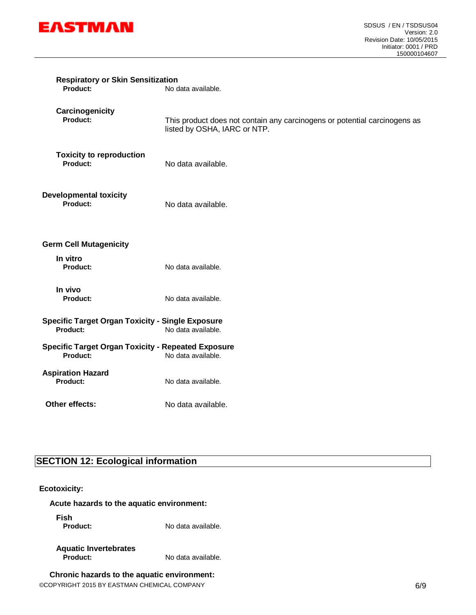

| <b>Respiratory or Skin Sensitization</b><br>Product:                  | No data available.                                                                                        |
|-----------------------------------------------------------------------|-----------------------------------------------------------------------------------------------------------|
| Carcinogenicity<br>Product:                                           | This product does not contain any carcinogens or potential carcinogens as<br>listed by OSHA, IARC or NTP. |
| <b>Toxicity to reproduction</b><br>Product:                           | No data available.                                                                                        |
| <b>Developmental toxicity</b><br><b>Product:</b>                      | No data available.                                                                                        |
| <b>Germ Cell Mutagenicity</b>                                         |                                                                                                           |
| In vitro<br>Product:                                                  | No data available.                                                                                        |
| In vivo<br>Product:                                                   | No data available.                                                                                        |
| <b>Specific Target Organ Toxicity - Single Exposure</b><br>Product:   | No data available.                                                                                        |
| <b>Specific Target Organ Toxicity - Repeated Exposure</b><br>Product: | No data available.                                                                                        |
| <b>Aspiration Hazard</b><br>Product:                                  | No data available.                                                                                        |
| Other effects:                                                        | No data available.                                                                                        |

# **SECTION 12: Ecological information**

## **Ecotoxicity:**

#### **Acute hazards to the aquatic environment:**

**Fish**

No data available.

# **Aquatic Invertebrates**

**Product:** No data available.

# **Chronic hazards to the aquatic environment:**

©COPYRIGHT 2015 BY EASTMAN CHEMICAL COMPANY 6/9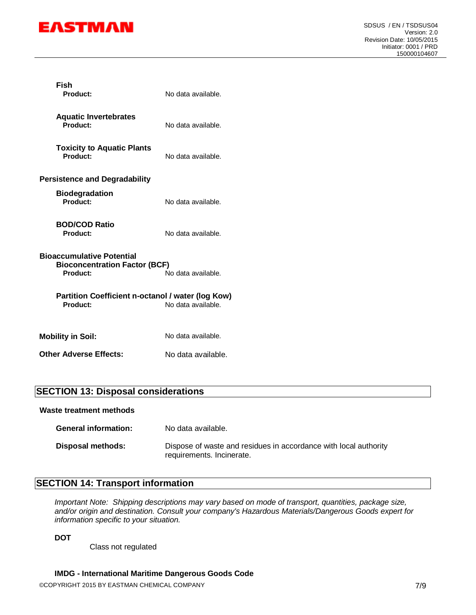

| Fish<br>Product:                                                                                           | No data available. |  |
|------------------------------------------------------------------------------------------------------------|--------------------|--|
| <b>Aquatic Invertebrates</b><br>Product:                                                                   | No data available. |  |
| <b>Toxicity to Aquatic Plants</b><br>Product:                                                              | No data available. |  |
| <b>Persistence and Degradability</b>                                                                       |                    |  |
| <b>Biodegradation</b><br>Product:                                                                          | No data available. |  |
| <b>BOD/COD Ratio</b><br>Product:                                                                           | No data available. |  |
| <b>Bioaccumulative Potential</b><br><b>Bioconcentration Factor (BCF)</b><br>No data available.<br>Product: |                    |  |
| Partition Coefficient n-octanol / water (log Kow)<br>Product:                                              | No data available. |  |
| <b>Mobility in Soil:</b>                                                                                   | No data available. |  |
| <b>Other Adverse Effects:</b>                                                                              | No data available. |  |

# **SECTION 13: Disposal considerations**

**Waste treatment methods**

| <b>General information:</b> | No data available.                                                                            |
|-----------------------------|-----------------------------------------------------------------------------------------------|
| Disposal methods:           | Dispose of waste and residues in accordance with local authority<br>requirements. Incinerate. |

# **SECTION 14: Transport information**

*Important Note: Shipping descriptions may vary based on mode of transport, quantities, package size, and/or origin and destination. Consult your company's Hazardous Materials/Dangerous Goods expert for information specific to your situation.*

**DOT**

Class not regulated

#### **IMDG - International Maritime Dangerous Goods Code**

©COPYRIGHT 2015 BY EASTMAN CHEMICAL COMPANY 7/9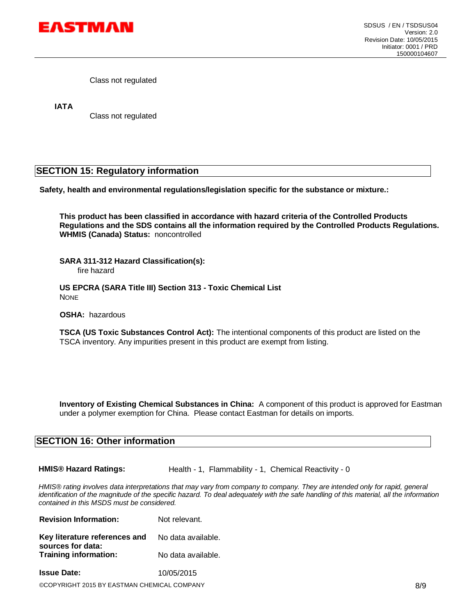

Class not regulated

**IATA**

Class not regulated

# **SECTION 15: Regulatory information**

**Safety, health and environmental regulations/legislation specific for the substance or mixture.:**

**This product has been classified in accordance with hazard criteria of the Controlled Products Regulations and the SDS contains all the information required by the Controlled Products Regulations. WHMIS (Canada) Status:** noncontrolled

**SARA 311-312 Hazard Classification(s):**  fire hazard

**US EPCRA (SARA Title III) Section 313 - Toxic Chemical List** NONE

**OSHA:** hazardous

**TSCA (US Toxic Substances Control Act):** The intentional components of this product are listed on the TSCA inventory. Any impurities present in this product are exempt from listing.

**Inventory of Existing Chemical Substances in China:** A component of this product is approved for Eastman under a polymer exemption for China. Please contact Eastman for details on imports.

## **SECTION 16: Other information**

**HMIS® Hazard Ratings:** Health - 1, Flammability - 1, Chemical Reactivity - 0

*HMIS® rating involves data interpretations that may vary from company to company. They are intended only for rapid, general identification of the magnitude of the specific hazard. To deal adequately with the safe handling of this material, all the information contained in this MSDS must be considered.*

| <b>Revision Information:</b>                       | Not relevant.      |  |
|----------------------------------------------------|--------------------|--|
| Key literature references and<br>sources for data: | No data available. |  |
| <b>Training information:</b>                       | No data available. |  |
| <b>Issue Date:</b>                                 | 10/05/2015         |  |
|                                                    |                    |  |